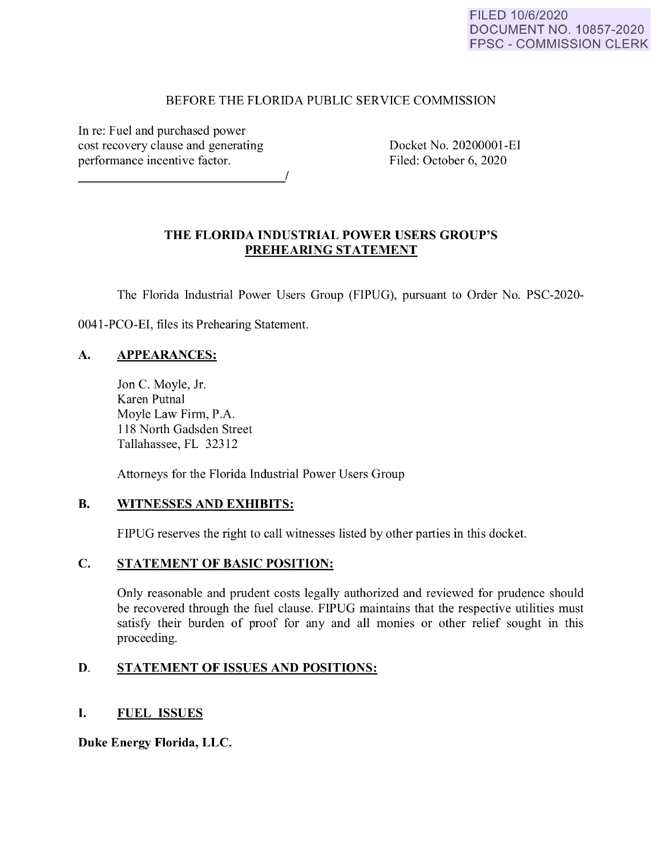### BEFORE THE FLORIDA PUBLIC SERVICE COMMISSION

In re: Fuel and purchased power cost recovery clause and generating performance incentive factor.

Docket No. 20200001-EI Filed: October 6, 2020

# **THE FLORIDA INDUSTRIAL POWER USERS GROUP'S PREHEARING STATEMENT**

The Florida Industrial Power Users Group (FIPUG), pursuant to Order No. PSC-2020-

0041-PCO-EI, files its Prehearing Statement.

# **A. APPEARANCES:**

Jon C. Moyle, Jr. Karen Putnal Moyle Law Firm, P.A. 118 North Gadsden Street Tallahassee, FL 32312

Attorneys for the Florida Industrial Power Users Group

# **B. WITNESSES AND EXHIBITS:**

FIPUG reserves the right to call witnesses listed by other parties in this docket.

# **C. STATEMENT OF BASIC POSITION:**

Only reasonable and prudent costs legally authorized and reviewed for prudence should be recovered through the fuel clause. FIPUG maintains that the respective utilities must satisfy their burden of proof for any and all monies or other relief sought in this proceeding.

# **D. STATEMENT OF ISSUES AND POSITIONS:**

# I. **FUEL ISSUES**

**Duke Energy Florida, LLC.**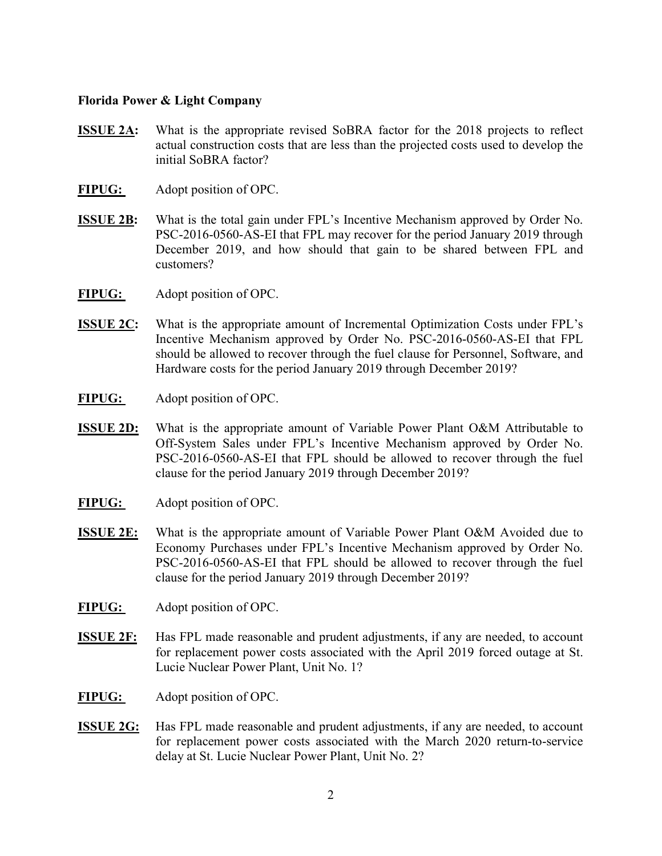#### Florida Power & Light Company

- **ISSUE 2A:** What is the appropriate revised SoBRA factor for the 2018 projects to reflect actual construction costs that are less than the projected costs used to develop the initial SoBRA factor?
- FIPUG: Adopt position of OPC.
- ISSUE 2B: What is the total gain under FPL's Incentive Mechanism approved by Order No. PSC-2016-0560-AS-EI that FPL may recover for the period January 2019 through December 2019, and how should that gain to be shared between FPL and customers?
- FIPUG: Adopt position of OPC.
- ISSUE 2C: What is the appropriate amount of Incremental Optimization Costs under FPL's Incentive Mechanism approved by Order No. PSC-2016-0560-AS-EI that FPL should be allowed to recover through the fuel clause for Personnel, Software, and Hardware costs for the period January 2019 through December 2019?
- FIPUG: Adopt position of OPC.
- ISSUE 2D: What is the appropriate amount of Variable Power Plant O&M Attributable to Off-System Sales under FPL's Incentive Mechanism approved by Order No. PSC-2016-0560-AS-EI that FPL should be allowed to recover through the fuel clause for the period January 2019 through December 2019?
- FIPUG: Adopt position of OPC.
- ISSUE 2E: What is the appropriate amount of Variable Power Plant O&M Avoided due to Economy Purchases under FPL's Incentive Mechanism approved by Order No. PSC-2016-0560-AS-EI that FPL should be allowed to recover through the fuel clause for the period January 2019 through December 2019?
- FIPUG: Adopt position of OPC.
- ISSUE 2F: Has FPL made reasonable and prudent adjustments, if any are needed, to account for replacement power costs associated with the April 2019 forced outage at St. Lucie Nuclear Power Plant, Unit No. 1?
- FIPUG: Adopt position of OPC.
- ISSUE 2G: Has FPL made reasonable and prudent adjustments, if any are needed, to account for replacement power costs associated with the March 2020 return-to-service delay at St. Lucie Nuclear Power Plant, Unit No. 2?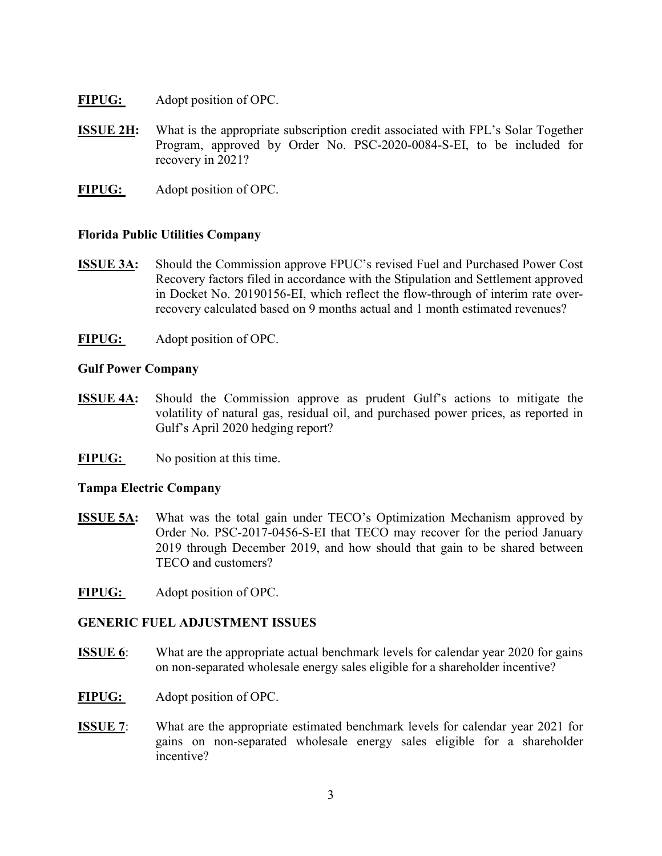- FIPUG: Adopt position of OPC.
- **ISSUE 2H:** What is the appropriate subscription credit associated with FPL's Solar Together Program, approved by Order No. PSC-2020-0084-S-EI, to be included for recovery in 2021?
- FIPUG: Adopt position of OPC.

### Florida Public Utilities Company

- ISSUE 3A: Should the Commission approve FPUC's revised Fuel and Purchased Power Cost Recovery factors filed in accordance with the Stipulation and Settlement approved in Docket No. 20190156-EI, which reflect the flow-through of interim rate overrecovery calculated based on 9 months actual and 1 month estimated revenues?
- FIPUG: Adopt position of OPC.

### Gulf Power Company

- ISSUE 4A: Should the Commission approve as prudent Gulf's actions to mitigate the volatility of natural gas, residual oil, and purchased power prices, as reported in Gulf's April 2020 hedging report?
- FIPUG: No position at this time.

### Tampa Electric Company

- ISSUE 5A: What was the total gain under TECO's Optimization Mechanism approved by Order No. PSC-2017-0456-S-EI that TECO may recover for the period January 2019 through December 2019, and how should that gain to be shared between TECO and customers?
- FIPUG: Adopt position of OPC.

### GENERIC FUEL ADJUSTMENT ISSUES

- ISSUE 6: What are the appropriate actual benchmark levels for calendar year 2020 for gains on non-separated wholesale energy sales eligible for a shareholder incentive?
- FIPUG: Adopt position of OPC.
- ISSUE 7: What are the appropriate estimated benchmark levels for calendar year 2021 for gains on non-separated wholesale energy sales eligible for a shareholder incentive?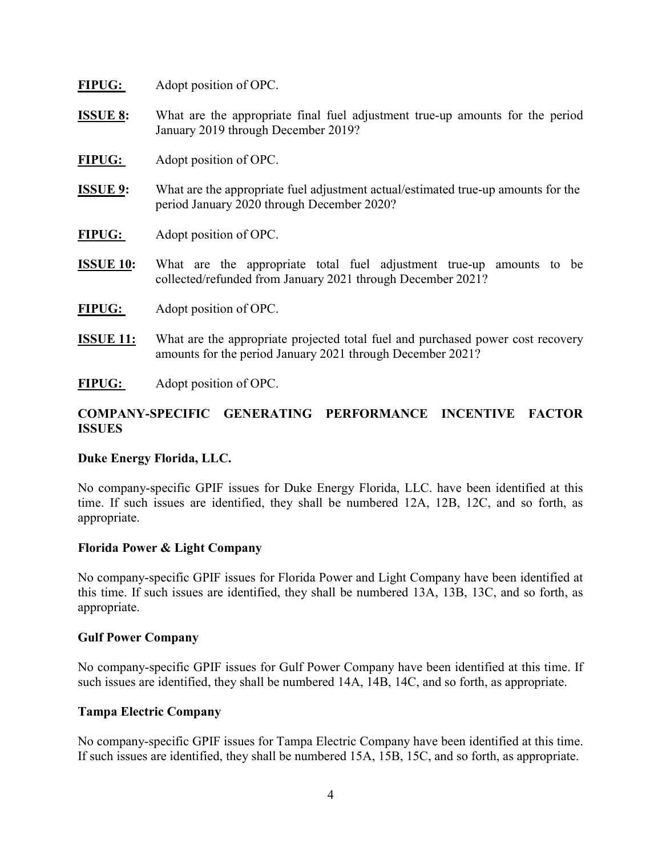| <b>FIPUG:</b> | Adopt position of OPC. |  |
|---------------|------------------------|--|
|---------------|------------------------|--|

- ISSUE 8: What are the appropriate final fuel adjustment true-up amounts for the period January 2019 through December 2019?
- FIPUG: Adopt position of OPC.
- ISSUE 9: What are the appropriate fuel adjustment actual/estimated true-up amounts for the period January 2020 through December 2020?
- FIPUG: Adopt position of OPC.
- ISSUE 10: What are the appropriate total fuel adjustment true-up amounts to be collected/refunded from January 2021 through December 2021?
- FIPUG: Adopt position of OPC.
- ISSUE 11: What are the appropriate projected total fuel and purchased power cost recovery amounts for the period January 2021 through December 2021?
- FIPUG: Adopt position of OPC.

# COMPANY-SPECIFIC GENERATING PERFORMANCE INCENTIVE FACTOR ISSUES

### Duke Energy Florida, LLC.

No company-specific GPIF issues for Duke Energy Florida, LLC. have been identified at this time. If such issues are identified, they shall be numbered 12A, 12B, 12C, and so forth, as appropriate.

### Florida Power & Light Company

No company-specific GPIF issues for Florida Power and Light Company have been identified at this time. If such issues are identified, they shall be numbered 13A, 13B, 13C, and so forth, as appropriate.

### Gulf Power Company

No company-specific GPIF issues for Gulf Power Company have been identified at this time. If such issues are identified, they shall be numbered 14A, 14B, 14C, and so forth, as appropriate.

### Tampa Electric Company

No company-specific GPIF issues for Tampa Electric Company have been identified at this time. If such issues are identified, they shall be numbered 15A, 15B, 15C, and so forth, as appropriate.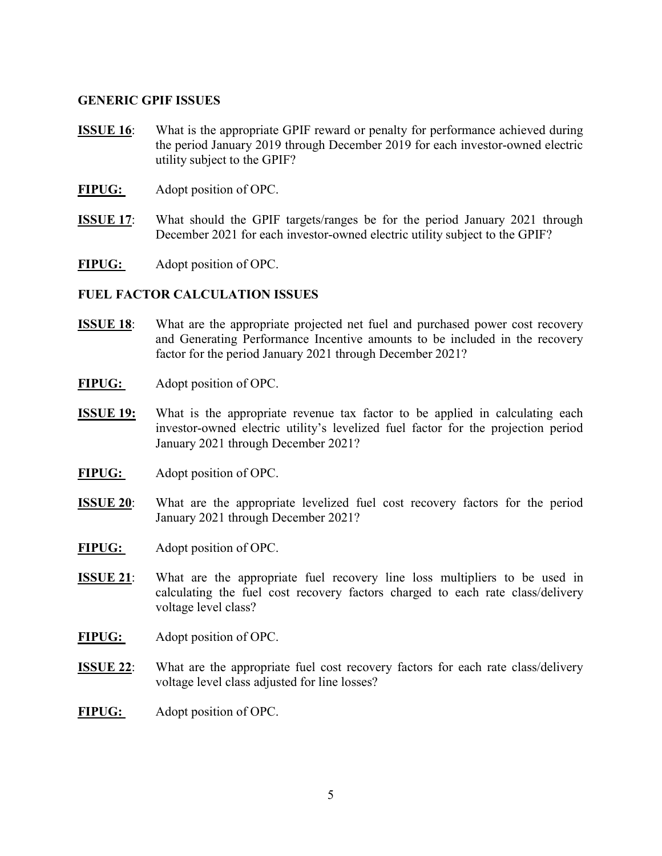#### GENERIC GPIF ISSUES

- **ISSUE 16:** What is the appropriate GPIF reward or penalty for performance achieved during the period January 2019 through December 2019 for each investor-owned electric utility subject to the GPIF?
- FIPUG: Adopt position of OPC.
- ISSUE 17: What should the GPIF targets/ranges be for the period January 2021 through December 2021 for each investor-owned electric utility subject to the GPIF?

FIPUG: Adopt position of OPC.

### FUEL FACTOR CALCULATION ISSUES

- ISSUE 18: What are the appropriate projected net fuel and purchased power cost recovery and Generating Performance Incentive amounts to be included in the recovery factor for the period January 2021 through December 2021?
- FIPUG: Adopt position of OPC.
- ISSUE 19: What is the appropriate revenue tax factor to be applied in calculating each investor-owned electric utility's levelized fuel factor for the projection period January 2021 through December 2021?
- FIPUG: Adopt position of OPC.
- **ISSUE 20:** What are the appropriate levelized fuel cost recovery factors for the period January 2021 through December 2021?
- FIPUG: Adopt position of OPC.
- ISSUE 21: What are the appropriate fuel recovery line loss multipliers to be used in calculating the fuel cost recovery factors charged to each rate class/delivery voltage level class?
- FIPUG: Adopt position of OPC.
- ISSUE 22: What are the appropriate fuel cost recovery factors for each rate class/delivery voltage level class adjusted for line losses?
- FIPUG: Adopt position of OPC.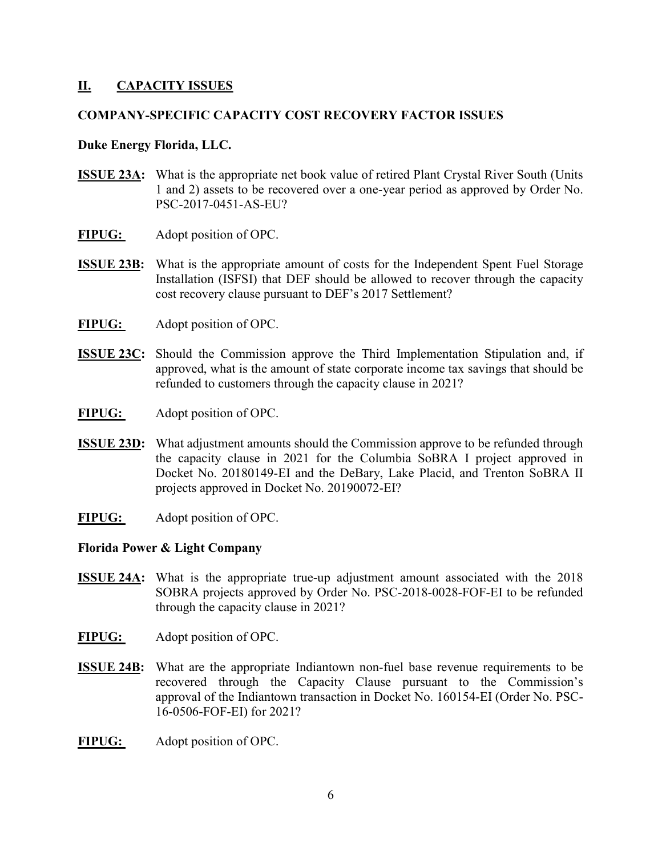### II. CAPACITY ISSUES

### COMPANY-SPECIFIC CAPACITY COST RECOVERY FACTOR ISSUES

#### Duke Energy Florida, LLC.

- ISSUE 23A: What is the appropriate net book value of retired Plant Crystal River South (Units 1 and 2) assets to be recovered over a one-year period as approved by Order No. PSC-2017-0451-AS-EU?
- FIPUG: Adopt position of OPC.
- ISSUE 23B: What is the appropriate amount of costs for the Independent Spent Fuel Storage Installation (ISFSI) that DEF should be allowed to recover through the capacity cost recovery clause pursuant to DEF's 2017 Settlement?
- FIPUG: Adopt position of OPC.
- ISSUE 23C: Should the Commission approve the Third Implementation Stipulation and, if approved, what is the amount of state corporate income tax savings that should be refunded to customers through the capacity clause in 2021?
- FIPUG: Adopt position of OPC.
- **ISSUE 23D:** What adjustment amounts should the Commission approve to be refunded through the capacity clause in 2021 for the Columbia SoBRA I project approved in Docket No. 20180149-EI and the DeBary, Lake Placid, and Trenton SoBRA II projects approved in Docket No. 20190072-EI?
- FIPUG: Adopt position of OPC.

#### Florida Power & Light Company

- ISSUE 24A: What is the appropriate true-up adjustment amount associated with the 2018 SOBRA projects approved by Order No. PSC-2018-0028-FOF-EI to be refunded through the capacity clause in 2021?
- FIPUG: Adopt position of OPC.
- ISSUE 24B: What are the appropriate Indiantown non-fuel base revenue requirements to be recovered through the Capacity Clause pursuant to the Commission's approval of the Indiantown transaction in Docket No. 160154-EI (Order No. PSC-16-0506-FOF-EI) for 2021?
- FIPUG: Adopt position of OPC.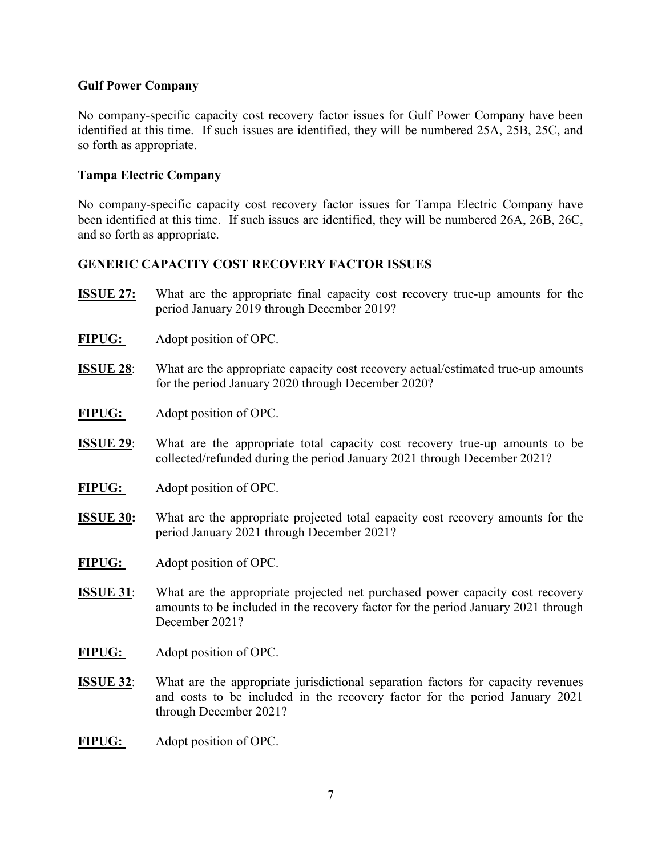### Gulf Power Company

No company-specific capacity cost recovery factor issues for Gulf Power Company have been identified at this time. If such issues are identified, they will be numbered 25A, 25B, 25C, and so forth as appropriate.

### Tampa Electric Company

No company-specific capacity cost recovery factor issues for Tampa Electric Company have been identified at this time. If such issues are identified, they will be numbered 26A, 26B, 26C, and so forth as appropriate.

### GENERIC CAPACITY COST RECOVERY FACTOR ISSUES

- ISSUE 27: What are the appropriate final capacity cost recovery true-up amounts for the period January 2019 through December 2019?
- FIPUG: Adopt position of OPC.
- ISSUE 28: What are the appropriate capacity cost recovery actual/estimated true-up amounts for the period January 2020 through December 2020?
- FIPUG: Adopt position of OPC.
- ISSUE 29: What are the appropriate total capacity cost recovery true-up amounts to be collected/refunded during the period January 2021 through December 2021?
- FIPUG: Adopt position of OPC.
- ISSUE 30: What are the appropriate projected total capacity cost recovery amounts for the period January 2021 through December 2021?
- FIPUG: Adopt position of OPC.
- **ISSUE 31:** What are the appropriate projected net purchased power capacity cost recovery amounts to be included in the recovery factor for the period January 2021 through December 2021?
- FIPUG: Adopt position of OPC.
- ISSUE 32: What are the appropriate jurisdictional separation factors for capacity revenues and costs to be included in the recovery factor for the period January 2021 through December 2021?
- FIPUG: Adopt position of OPC.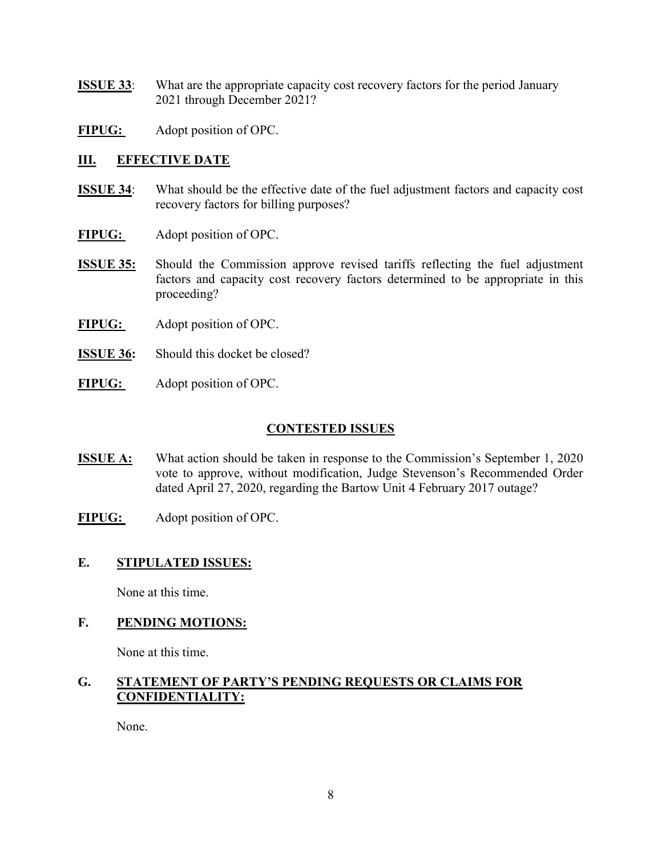- ISSUE 33: What are the appropriate capacity cost recovery factors for the period January 2021 through December 2021?
- FIPUG: Adopt position of OPC.

# III. EFFECTIVE DATE

- ISSUE 34: What should be the effective date of the fuel adjustment factors and capacity cost recovery factors for billing purposes?
- FIPUG: Adopt position of OPC.
- ISSUE 35: Should the Commission approve revised tariffs reflecting the fuel adjustment factors and capacity cost recovery factors determined to be appropriate in this proceeding?
- FIPUG: Adopt position of OPC.
- **ISSUE 36:** Should this docket be closed?
- FIPUG: Adopt position of OPC.

## CONTESTED ISSUES

- ISSUE A: What action should be taken in response to the Commission's September 1, 2020 vote to approve, without modification, Judge Stevenson's Recommended Order dated April 27, 2020, regarding the Bartow Unit 4 February 2017 outage?
- FIPUG: Adopt position of OPC.

### E. STIPULATED ISSUES:

None at this time.

# F. PENDING MOTIONS:

None at this time.

### G. STATEMENT OF PARTY'S PENDING REQUESTS OR CLAIMS FOR CONFIDENTIALITY:

None.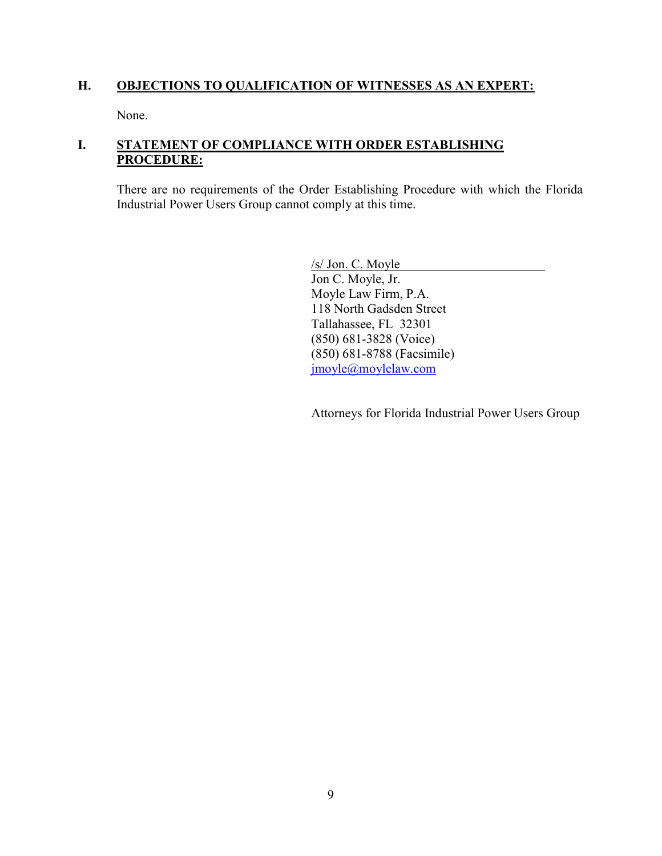### H. OBJECTIONS TO QUALIFICATION OF WITNESSES AS AN EXPERT:

None.

# I. STATEMENT OF COMPLIANCE WITH ORDER ESTABLISHING PROCEDURE:

There are no requirements of the Order Establishing Procedure with which the Florida Industrial Power Users Group cannot comply at this time.

/s/ Jon. C. Moyle

Jon C. Moyle, Jr. Moyle Law Firm, P.A. 118 North Gadsden Street Tallahassee, FL 32301 (850) 681-3828 (Voice) (850) 681-8788 (Facsimile) jmoyle@moylelaw.com

Attorneys for Florida Industrial Power Users Group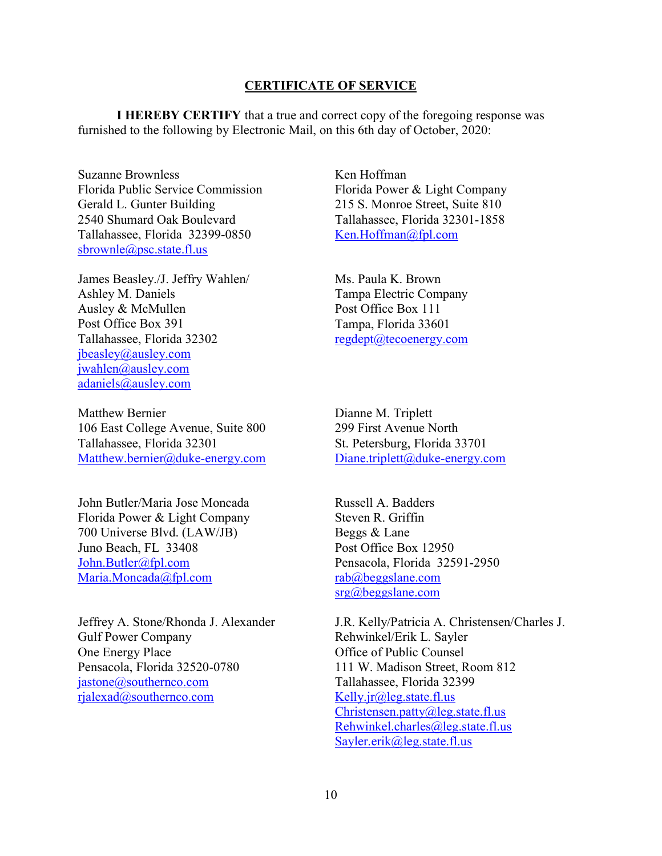#### CERTIFICATE OF SERVICE

I HEREBY CERTIFY that a true and correct copy of the foregoing response was furnished to the following by Electronic Mail, on this 6th day of October, 2020:

Suzanne Brownless Florida Public Service Commission Gerald L. Gunter Building 2540 Shumard Oak Boulevard Tallahassee, Florida 32399-0850 sbrownle@psc.state.fl.us

James Beasley./J. Jeffry Wahlen/ Ashley M. Daniels Ausley & McMullen Post Office Box 391 Tallahassee, Florida 32302 jbeasley@ausley.com jwahlen@ausley.com adaniels@ausley.com

Matthew Bernier 106 East College Avenue, Suite 800 Tallahassee, Florida 32301 Matthew.bernier@duke-energy.com

John Butler/Maria Jose Moncada Florida Power & Light Company 700 Universe Blvd. (LAW/JB) Juno Beach, FL 33408 John.Butler@fpl.com Maria.Moncada@fpl.com

Jeffrey A. Stone/Rhonda J. Alexander Gulf Power Company One Energy Place Pensacola, Florida 32520-0780 jastone@southernco.com rjalexad@southernco.com

Ken Hoffman Florida Power & Light Company 215 S. Monroe Street, Suite 810 Tallahassee, Florida 32301-1858 Ken.Hoffman@fpl.com

Ms. Paula K. Brown Tampa Electric Company Post Office Box 111 Tampa, Florida 33601 regdept@tecoenergy.com

Dianne M. Triplett 299 First Avenue North St. Petersburg, Florida 33701 Diane.triplett@duke-energy.com

Russell A. Badders Steven R. Griffin Beggs & Lane Post Office Box 12950 Pensacola, Florida 32591-2950 rab@beggslane.com srg@beggslane.com

J.R. Kelly/Patricia A. Christensen/Charles J. Rehwinkel/Erik L. Sayler Office of Public Counsel 111 W. Madison Street, Room 812 Tallahassee, Florida 32399 Kelly.jr@leg.state.fl.us Christensen.patty@leg.state.fl.us Rehwinkel.charles@leg.state.fl.us Sayler.erik@leg.state.fl.us